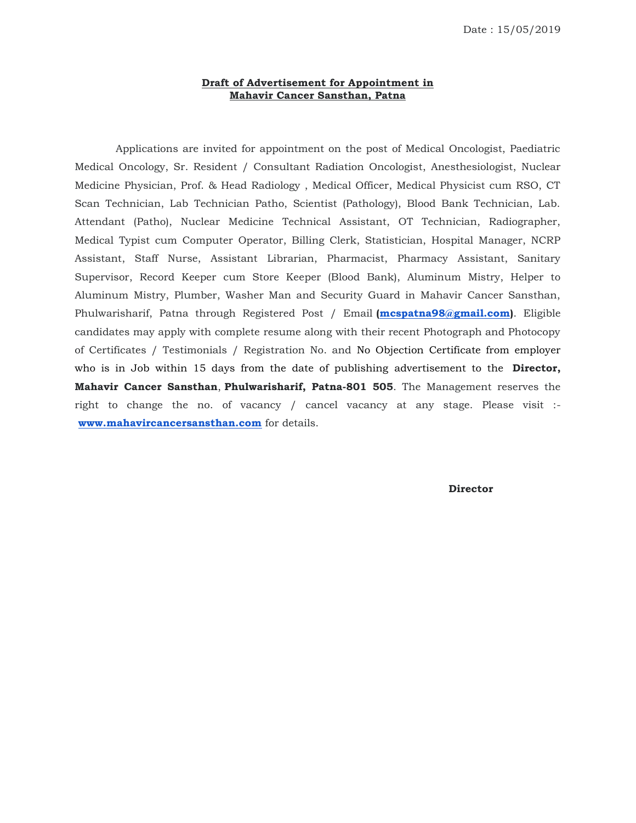## **Draft of Advertisement for Appointment in Mahavir Cancer Sansthan, Patna**

 Applications are invited for appointment on the post of Medical Oncologist, Paediatric Medical Oncology, Sr. Resident / Consultant Radiation Oncologist, Anesthesiologist, Nuclear Medicine Physician, Prof. & Head Radiology , Medical Officer, Medical Physicist cum RSO, CT Scan Technician, Lab Technician Patho, Scientist (Pathology), Blood Bank Technician, Lab. Attendant (Patho), Nuclear Medicine Technical Assistant, OT Technician, Radiographer, Medical Typist cum Computer Operator, Billing Clerk, Statistician, Hospital Manager, NCRP Assistant, Staff Nurse, Assistant Librarian, Pharmacist, Pharmacy Assistant, Sanitary Supervisor, Record Keeper cum Store Keeper (Blood Bank), Aluminum Mistry, Helper to Aluminum Mistry, Plumber, Washer Man and Security Guard in Mahavir Cancer Sansthan, Phulwarisharif, Patna through Registered Post / Email **[\(mcspatna98@gmail.com\)](mailto:mcspatna98@gmail.com)**. Eligible candidates may apply with complete resume along with their recent Photograph and Photocopy of Certificates / Testimonials / Registration No. and No Objection Certificate from employer who is in Job within 15 days from the date of publishing advertisement to the **Director, Mahavir Cancer Sansthan**, **Phulwarisharif, Patna-801 505**. The Management reserves the right to change the no. of vacancy / cancel vacancy at any stage. Please visit : **[www.mahavircancersansthan.com](http://www.mahavircancersansthan.com/)** for details.

**Director**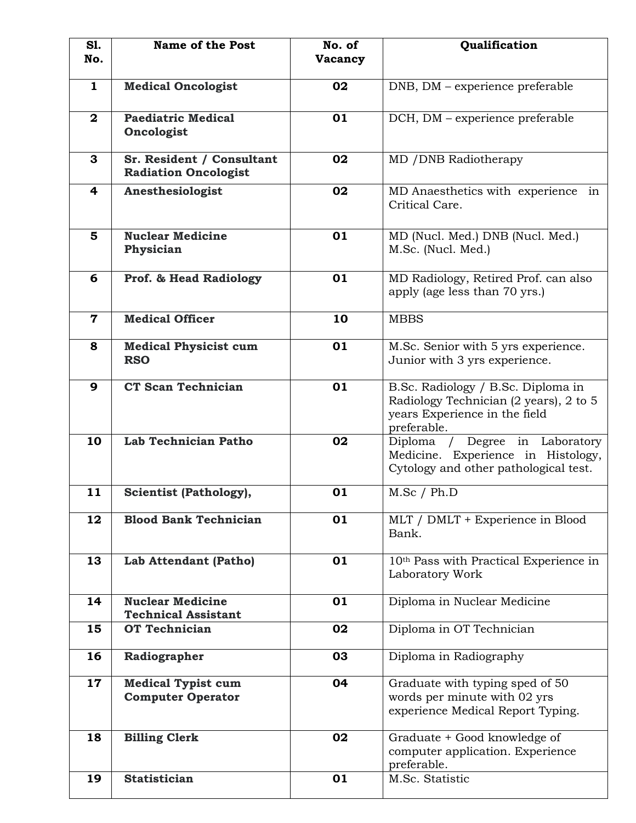| SI.<br>No.   | <b>Name of the Post</b>                                  | No. of<br>Vacancy | Qualification                                                                                                                |
|--------------|----------------------------------------------------------|-------------------|------------------------------------------------------------------------------------------------------------------------------|
|              |                                                          |                   |                                                                                                                              |
| $\mathbf{1}$ | <b>Medical Oncologist</b>                                | 02                | DNB, DM – experience preferable                                                                                              |
| $\mathbf{2}$ | <b>Paediatric Medical</b><br>Oncologist                  | 01                | DCH, DM – experience preferable                                                                                              |
| 3            | Sr. Resident / Consultant<br><b>Radiation Oncologist</b> | 02                | MD / DNB Radiotherapy                                                                                                        |
| 4            | Anesthesiologist                                         | 02                | MD Anaesthetics with experience in<br>Critical Care.                                                                         |
| 5            | <b>Nuclear Medicine</b><br>Physician                     | 01                | MD (Nucl. Med.) DNB (Nucl. Med.)<br>M.Sc. (Nucl. Med.)                                                                       |
| 6            | <b>Prof. &amp; Head Radiology</b>                        | 01                | MD Radiology, Retired Prof. can also<br>apply (age less than 70 yrs.)                                                        |
| $\mathbf 7$  | <b>Medical Officer</b>                                   | 10                | <b>MBBS</b>                                                                                                                  |
| 8            | <b>Medical Physicist cum</b><br><b>RSO</b>               | 01                | M.Sc. Senior with 5 yrs experience.<br>Junior with 3 yrs experience.                                                         |
| 9            | <b>CT Scan Technician</b>                                | 01                | B.Sc. Radiology / B.Sc. Diploma in<br>Radiology Technician (2 years), 2 to 5<br>years Experience in the field<br>preferable. |
| 10           | Lab Technician Patho                                     | 02                | Degree in Laboratory<br>Diploma /<br>Medicine. Experience in Histology,<br>Cytology and other pathological test.             |
| 11           | <b>Scientist (Pathology),</b>                            | 01                | M.Sc / Ph.D                                                                                                                  |
| 12           | <b>Blood Bank Technician</b>                             | 01                | MLT / DMLT + Experience in Blood<br>Bank.                                                                                    |
| 13           | Lab Attendant (Patho)                                    | 01                | 10 <sup>th</sup> Pass with Practical Experience in<br>Laboratory Work                                                        |
| 14           | <b>Nuclear Medicine</b><br><b>Technical Assistant</b>    | 01                | Diploma in Nuclear Medicine                                                                                                  |
| 15           | <b>OT Technician</b>                                     | 02                | Diploma in OT Technician                                                                                                     |
| 16           | Radiographer                                             | 03                | Diploma in Radiography                                                                                                       |
| 17           | <b>Medical Typist cum</b><br><b>Computer Operator</b>    | 04                | Graduate with typing sped of 50<br>words per minute with 02 yrs<br>experience Medical Report Typing.                         |
| 18           | <b>Billing Clerk</b>                                     | 02                | Graduate + Good knowledge of<br>computer application. Experience<br>preferable.                                              |
| 19           | <b>Statistician</b>                                      | 01                | M.Sc. Statistic                                                                                                              |